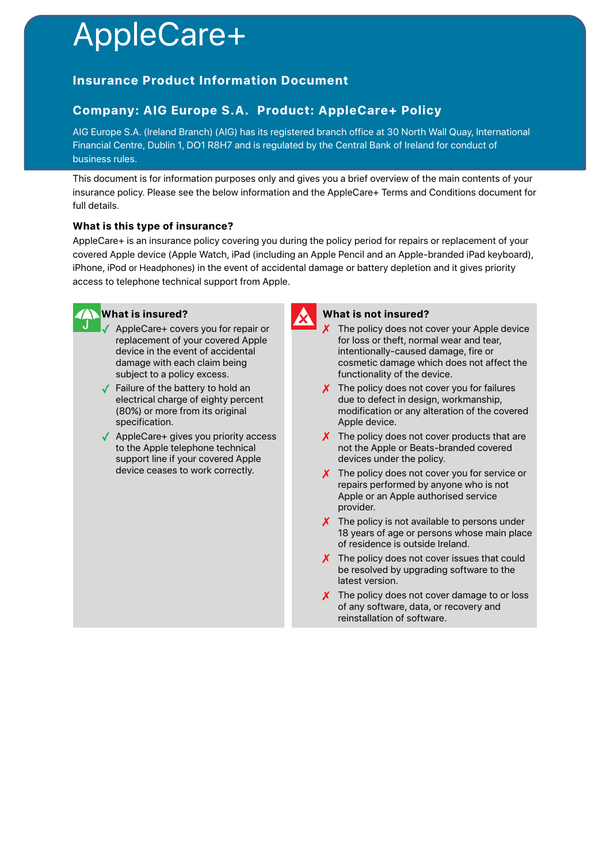# AppleCare+

## **Insurance Product Information Document**

## **Company: AIG Europe S.A. Product: AppleCare+ Policy**

AIG Europe S.A. (Ireland Branch) (AIG) has its registered branch office at 30 North Wall Quay, International Financial Centre, Dublin 1, DO1 R8H7 and is regulated by the Central Bank of Ireland for conduct of business rules.

This document is for information purposes only and gives you a brief overview of the main contents of your insurance policy. Please see the below information and the AppleCare+ Terms and Conditions document for full details.

### **What is this type of insurance?**

AppleCare+ is an insurance policy covering you during the policy period for repairs or replacement of your covered Apple device (Apple Watch, iPad (including an Apple Pencil and an Apple-branded iPad keyboard), iPhone, iPod or Headphones) in the event of accidental damage or battery depletion and it gives priority access to telephone technical support from Apple.



## **What is insured?**

- AppleCare+ covers you for repair or replacement of your covered Apple device in the event of accidental damage with each claim being subject to a policy excess.
- ✓ Failure of the battery to hold an electrical charge of eighty percent (80%) or more from its original specification.
- ✓ AppleCare+ gives you priority access to the Apple telephone technical support line if your covered Apple device ceases to work correctly.



#### **What is not insured?**

- The policy does not cover your Apple device for loss or theft, normal wear and tear, intentionally-caused damage, fire or cosmetic damage which does not affect the functionality of the device.
- X The policy does not cover you for failures due to defect in design, workmanship, modification or any alteration of the covered Apple device.
- $\chi$  The policy does not cover products that are not the Apple or Beats-branded covered devices under the policy.
- X The policy does not cover you for service or repairs performed by anyone who is not Apple or an Apple authorised service provider.
- $\boldsymbol{\chi}$  The policy is not available to persons under 18 years of age or persons whose main place of residence is outside Ireland.
- The policy does not cover issues that could be resolved by upgrading software to the latest version.
- $\chi$  The policy does not cover damage to or loss of any software, data, or recovery and reinstallation of software.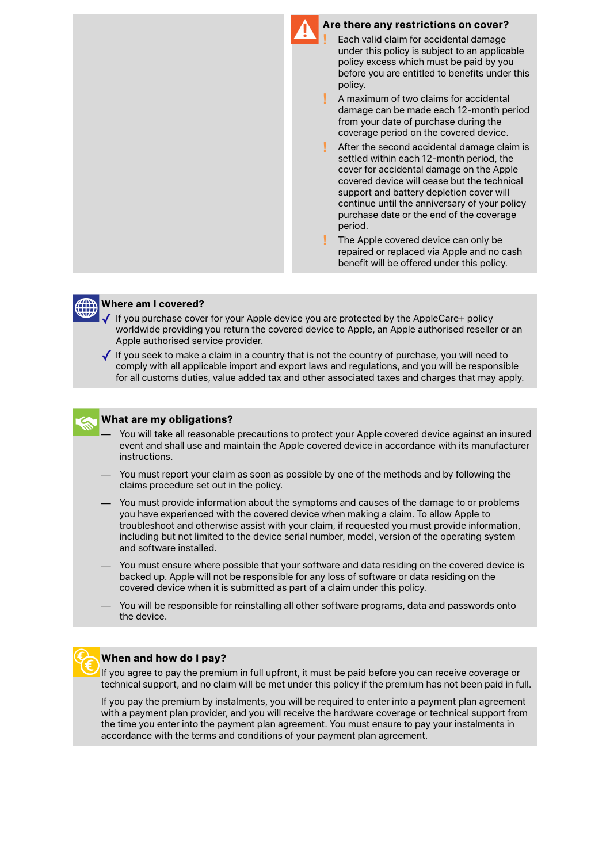



#### **Where am I covered?**

- If you purchase cover for your Apple device you are protected by the AppleCare+ policy worldwide providing you return the covered device to Apple, an Apple authorised reseller or an Apple authorised service provider.
- ✓ If you seek to make a claim in a country that is not the country of purchase, you will need to comply with all applicable import and export laws and regulations, and you will be responsible for all customs duties, value added tax and other associated taxes and charges that may apply.



#### **What are my obligations?**

- You will take all reasonable precautions to protect your Apple covered device against an insured event and shall use and maintain the Apple covered device in accordance with its manufacturer instructions.
- You must report your claim as soon as possible by one of the methods and by following the claims procedure set out in the policy.
- You must provide information about the symptoms and causes of the damage to or problems you have experienced with the covered device when making a claim. To allow Apple to troubleshoot and otherwise assist with your claim, if requested you must provide information, including but not limited to the device serial number, model, version of the operating system and software installed.
- You must ensure where possible that your software and data residing on the covered device is backed up. Apple will not be responsible for any loss of software or data residing on the covered device when it is submitted as part of a claim under this policy.
- You will be responsible for reinstalling all other software programs, data and passwords onto the device.



#### **When and how do I pay?**

If you agree to pay the premium in full upfront, it must be paid before you can receive coverage or technical support, and no claim will be met under this policy if the premium has not been paid in full.

If you pay the premium by instalments, you will be required to enter into a payment plan agreement with a payment plan provider, and you will receive the hardware coverage or technical support from the time you enter into the payment plan agreement. You must ensure to pay your instalments in accordance with the terms and conditions of your payment plan agreement.